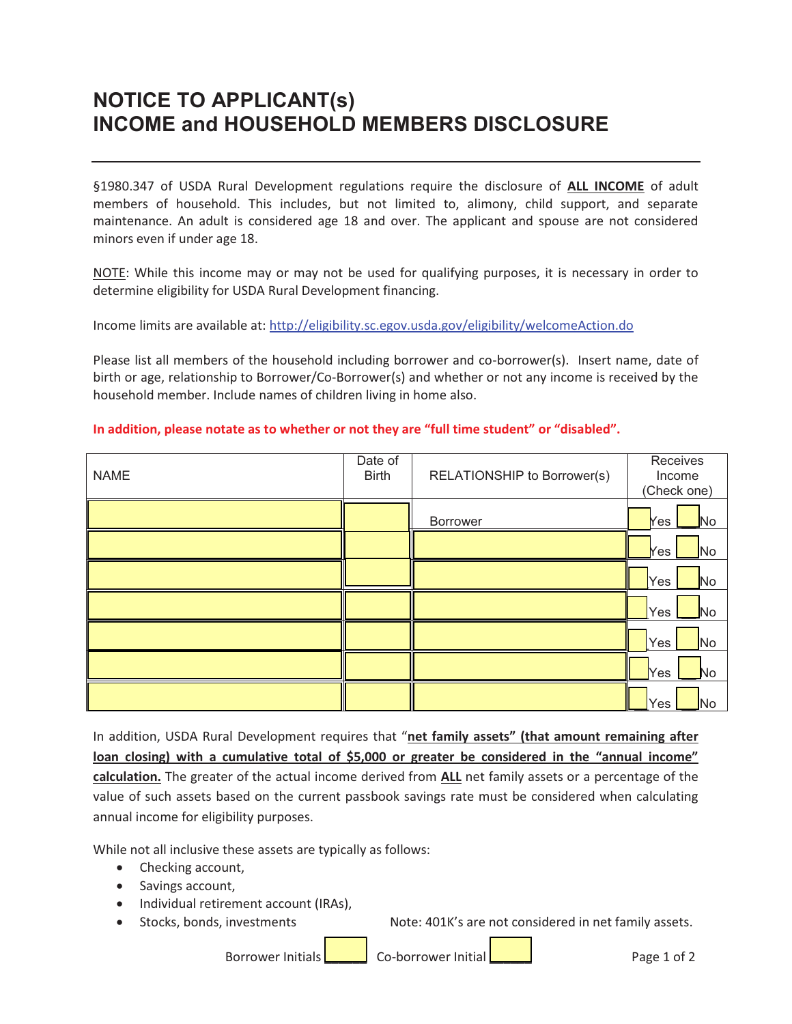## **NOTICE TO APPLICANT(s) INCOME and HOUSEHOLD MEMBERS DISCLOSURE**

§1980.347 of USDA Rural Development regulations require the disclosure of **ALL INCOME** of adult members of household. This includes, but not limited to, alimony, child support, and separate maintenance. An adult is considered age 18 and over. The applicant and spouse are not considered minors even if under age 18.

NOTE: While this income may or may not be used for qualifying purposes, it is necessary in order to determine eligibility for USDA Rural Development financing.

Income limits are available at: http://eligibility.sc.egov.usda.gov/eligibility/welcomeAction.do

Please list all members of the household including borrower and co-borrower(s). Insert name, date of birth or age, relationship to Borrower/Co-Borrower(s) and whether or not any income is received by the household member. Include names of children living in home also.

| <b>NAME</b> | Date of<br><b>Birth</b> | RELATIONSHIP to Borrower(s) | Receives<br>Income<br>(Check one) |
|-------------|-------------------------|-----------------------------|-----------------------------------|
|             |                         | Borrower                    | <b>Yes</b><br>No                  |
|             |                         |                             | N <sub>o</sub><br><b>Yes</b>      |
|             |                         |                             | Yes<br>No                         |
|             |                         |                             | Yes<br>No.                        |
|             |                         |                             | Yes<br>N <sub>o</sub>             |
|             |                         |                             | Yes<br>No                         |
|             |                         |                             | Yes<br>N <sub>o</sub>             |

## **In addition, please notate as to whether or not they are "full time student" or "disabled".**

In addition, USDA Rural Development requires that "**net family assets" (that amount remaining after loan closing) with a cumulative total of \$5,000 or greater be considered in the "annual income" calculation.** The greater of the actual income derived from **ALL** net family assets or a percentage of the value of such assets based on the current passbook savings rate must be considered when calculating annual income for eligibility purposes.

While not all inclusive these assets are typically as follows:

- Checking account,
- Savings account,
- · Individual retirement account (IRAs),
- 

· Stocks, bonds, investments Note: 401K's are not considered in net family assets.

Borrower Initials Co-borrower Initial Processes Assembly Page 1 of 2